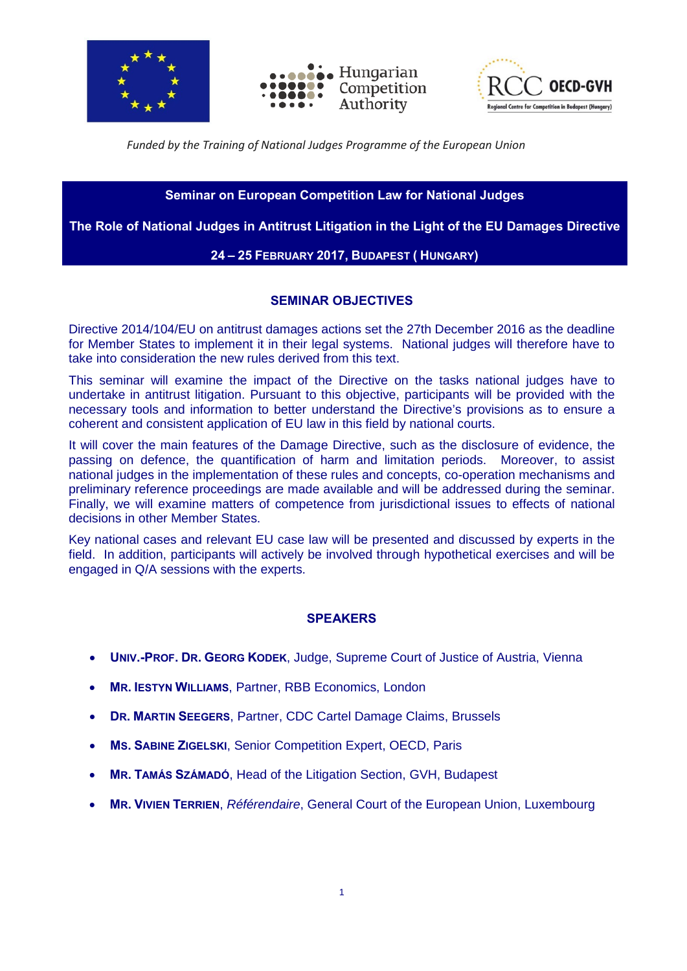





#### *Funded by the Training of National Judges Programme of the European Union*

## **Seminar on European Competition Law for National Judges**

**The Role of National Judges in Antitrust Litigation in the Light of the EU Damages Directive**

#### **24 – 25 FEBRUARY 2017, BUDAPEST ( HUNGARY)**

#### **SEMINAR OBJECTIVES**

Directive 2014/104/EU on antitrust damages actions set the 27th December 2016 as the deadline for Member States to implement it in their legal systems. National judges will therefore have to take into consideration the new rules derived from this text.

This seminar will examine the impact of the Directive on the tasks national judges have to undertake in antitrust litigation. Pursuant to this objective, participants will be provided with the necessary tools and information to better understand the Directive's provisions as to ensure a coherent and consistent application of EU law in this field by national courts.

It will cover the main features of the Damage Directive, such as the disclosure of evidence, the passing on defence, the quantification of harm and limitation periods. Moreover, to assist national judges in the implementation of these rules and concepts, co-operation mechanisms and preliminary reference proceedings are made available and will be addressed during the seminar. Finally, we will examine matters of competence from jurisdictional issues to effects of national decisions in other Member States.

Key national cases and relevant EU case law will be presented and discussed by experts in the field. In addition, participants will actively be involved through hypothetical exercises and will be engaged in Q/A sessions with the experts.

### **SPEAKERS**

- **UNIV.-PROF. DR. GEORG KODEK**, Judge, Supreme Court of Justice of Austria, Vienna
- **MR. IESTYN WILLIAMS**, Partner, RBB Economics, London
- **DR. MARTIN SEEGERS**, Partner, CDC Cartel Damage Claims, Brussels
- **MS. SABINE ZIGELSKI**, Senior Competition Expert, OECD, Paris
- **MR. TAMÁS SZÁMADÓ**, Head of the Litigation Section, GVH, Budapest
- **MR. VIVIEN TERRIEN**, *Référendaire*, General Court of the European Union, Luxembourg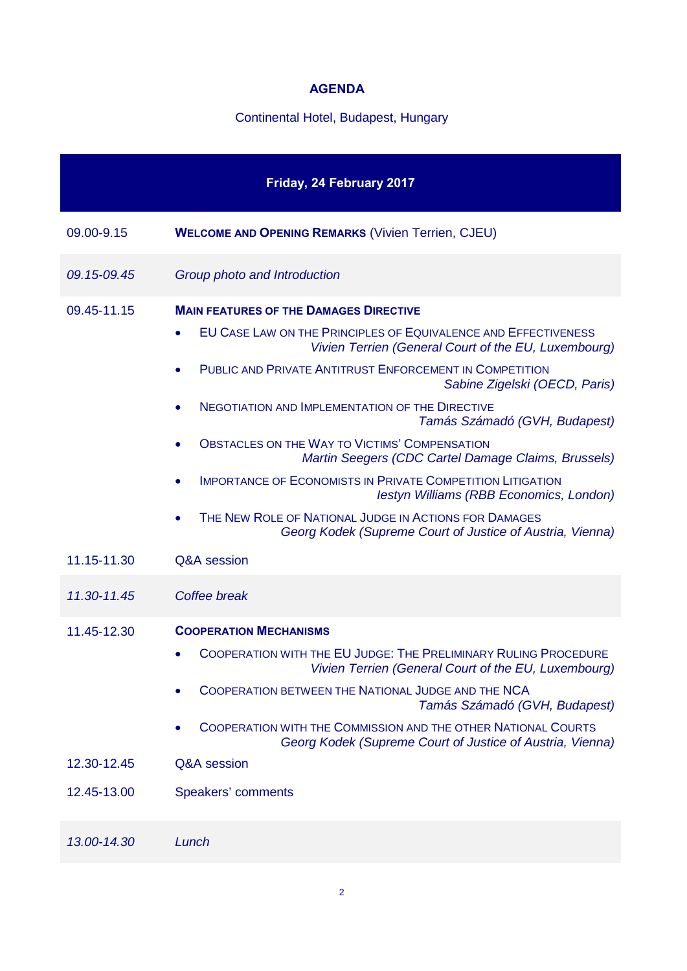# **AGENDA**

# Continental Hotel, Budapest, Hungary

| Friday, 24 February 2017 |                                                                                                                                   |  |
|--------------------------|-----------------------------------------------------------------------------------------------------------------------------------|--|
| 09.00-9.15               | <b>WELCOME AND OPENING REMARKS (Vivien Terrien, CJEU)</b>                                                                         |  |
| 09.15-09.45              | Group photo and Introduction                                                                                                      |  |
| 09.45-11.15              | <b>MAIN FEATURES OF THE DAMAGES DIRECTIVE</b>                                                                                     |  |
|                          | <b>EU CASE LAW ON THE PRINCIPLES OF EQUIVALENCE AND EFFECTIVENESS</b><br>Vivien Terrien (General Court of the EU, Luxembourg)     |  |
|                          | PUBLIC AND PRIVATE ANTITRUST ENFORCEMENT IN COMPETITION<br>$\bullet$<br>Sabine Zigelski (OECD, Paris)                             |  |
|                          | <b>NEGOTIATION AND IMPLEMENTATION OF THE DIRECTIVE</b><br>Tamás Számadó (GVH, Budapest)                                           |  |
|                          | <b>OBSTACLES ON THE WAY TO VICTIMS' COMPENSATION</b><br>Martin Seegers (CDC Cartel Damage Claims, Brussels)                       |  |
|                          | <b>IMPORTANCE OF ECONOMISTS IN PRIVATE COMPETITION LITIGATION</b><br>$\bullet$<br><b>lestyn Williams (RBB Economics, London)</b>  |  |
|                          | THE NEW ROLE OF NATIONAL JUDGE IN ACTIONS FOR DAMAGES<br>Georg Kodek (Supreme Court of Justice of Austria, Vienna)                |  |
| 11.15-11.30              | Q&A session                                                                                                                       |  |
| 11.30-11.45              | Coffee break                                                                                                                      |  |
| 11.45-12.30              | <b>COOPERATION MECHANISMS</b>                                                                                                     |  |
|                          | COOPERATION WITH THE EU JUDGE: THE PRELIMINARY RULING PROCEDURE<br>Vivien Terrien (General Court of the EU, Luxembourg)           |  |
|                          | <b>COOPERATION BETWEEN THE NATIONAL JUDGE AND THE NCA</b><br>Tamás Számadó (GVH, Budapest)                                        |  |
|                          | <b>COOPERATION WITH THE COMMISSION AND THE OTHER NATIONAL COURTS</b><br>Georg Kodek (Supreme Court of Justice of Austria, Vienna) |  |
| 12.30-12.45              | Q&A session                                                                                                                       |  |
| 12.45-13.00              | Speakers' comments                                                                                                                |  |
| 13.00-14.30              | Lunch                                                                                                                             |  |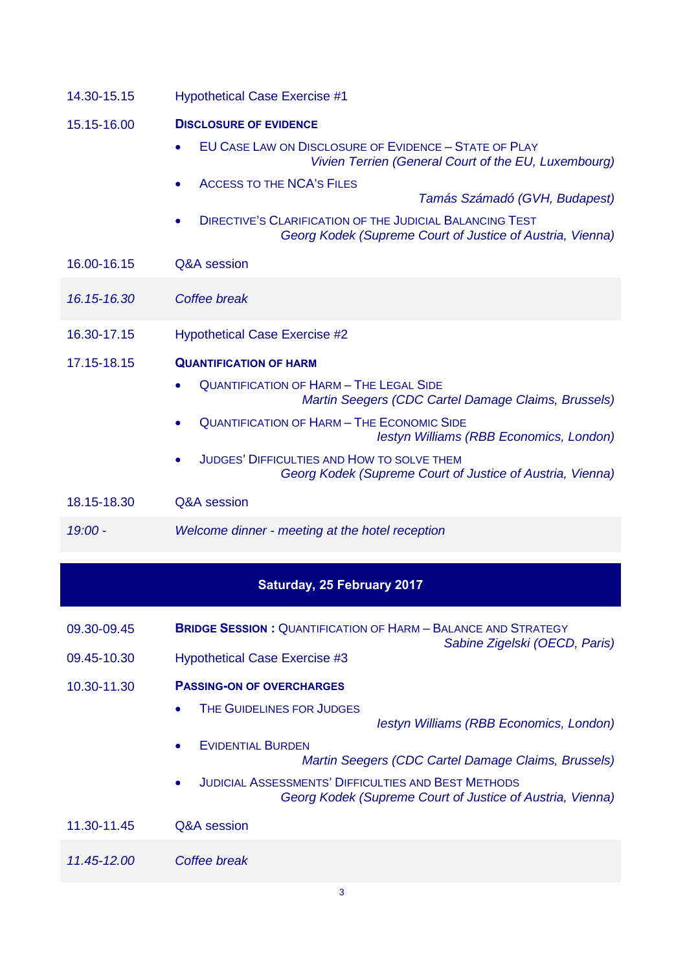| 14.30-15.15                       | <b>Hypothetical Case Exercise #1</b>                                                                                  |  |  |
|-----------------------------------|-----------------------------------------------------------------------------------------------------------------------|--|--|
| 15.15-16.00                       | <b>DISCLOSURE OF EVIDENCE</b><br><b>EU CASE LAW ON DISCLOSURE OF EVIDENCE - STATE OF PLAY</b>                         |  |  |
|                                   | Vivien Terrien (General Court of the EU, Luxembourg)                                                                  |  |  |
|                                   | <b>ACCESS TO THE NCA'S FILES</b><br>Tamás Számadó (GVH, Budapest)                                                     |  |  |
|                                   | DIRECTIVE'S CLARIFICATION OF THE JUDICIAL BALANCING TEST<br>Georg Kodek (Supreme Court of Justice of Austria, Vienna) |  |  |
| 16.00-16.15                       | Q&A session                                                                                                           |  |  |
| 16.15-16.30                       | Coffee break                                                                                                          |  |  |
| 16.30-17.15                       | <b>Hypothetical Case Exercise #2</b>                                                                                  |  |  |
| 17.15-18.15                       | <b>QUANTIFICATION OF HARM</b>                                                                                         |  |  |
|                                   | <b>QUANTIFICATION OF HARM - THE LEGAL SIDE</b><br>Martin Seegers (CDC Cartel Damage Claims, Brussels)                 |  |  |
|                                   | <b>QUANTIFICATION OF HARM - THE ECONOMIC SIDE</b><br>Iestyn Williams (RBB Economics, London)                          |  |  |
|                                   | <b>JUDGES' DIFFICULTIES AND HOW TO SOLVE THEM</b><br>Georg Kodek (Supreme Court of Justice of Austria, Vienna)        |  |  |
| 18.15-18.30                       | Q&A session                                                                                                           |  |  |
| $19:00 -$                         | Welcome dinner - meeting at the hotel reception                                                                       |  |  |
| <b>Saturday, 25 February 2017</b> |                                                                                                                       |  |  |
|                                   |                                                                                                                       |  |  |

- 09.30-09.45 **BRIDGE SESSION :** QUANTIFICATION OF HARM BALANCE AND STRATEGY *Sabine Zigelski (OECD, Paris)*
- 09.45-10.30 Hypothetical Case Exercise #3
- 10.30-11.30 **PASSING-ON OF OVERCHARGES**
	- THE GUIDELINES FOR JUDGES
		- *Iestyn Williams (RBB Economics, London)*
	- EVIDENTIAL BURDEN *Martin Seegers (CDC Cartel Damage Claims, Brussels)*
	- JUDICIAL ASSESSMENTS' DIFFICULTIES AND BEST METHODS *Georg Kodek (Supreme Court of Justice of Austria, Vienna)*
- 11.30-11.45 Q&A session
- *11.45-12.00 Coffee break*